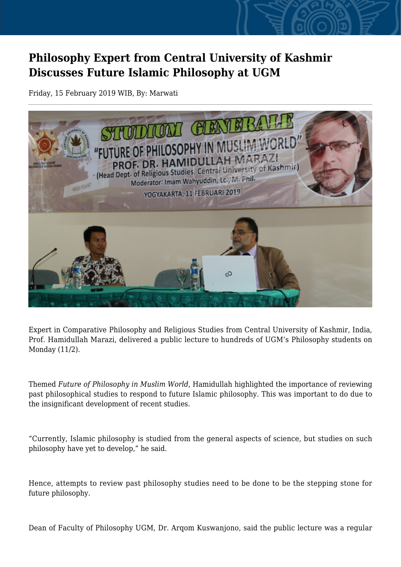## **Philosophy Expert from Central University of Kashmir Discusses Future Islamic Philosophy at UGM**

Friday, 15 February 2019 WIB, By: Marwati



Expert in Comparative Philosophy and Religious Studies from Central University of Kashmir, India, Prof. Hamidullah Marazi, delivered a public lecture to hundreds of UGM's Philosophy students on Monday (11/2).

Themed *Future of Philosophy in Muslim World*, Hamidullah highlighted the importance of reviewing past philosophical studies to respond to future Islamic philosophy. This was important to do due to the insignificant development of recent studies.

"Currently, Islamic philosophy is studied from the general aspects of science, but studies on such philosophy have yet to develop," he said.

Hence, attempts to review past philosophy studies need to be done to be the stepping stone for future philosophy.

Dean of Faculty of Philosophy UGM, Dr. Arqom Kuswanjono, said the public lecture was a regular